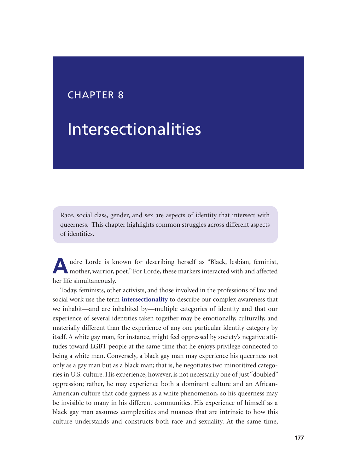### CHAPTER 8

# Intersectionalities

Race, social class, gender, and sex are aspects of identity that intersect with queerness. This chapter highlights common struggles across different aspects of identities.

Audre Lorde is known for describing herself as "Black, lesbian, feminist, mother, warrior, poet." For Lorde, these markers interacted with and affected her life simultaneously.

Today, feminists, other activists, and those involved in the professions of law and social work use the term **intersectionality** to describe our complex awareness that we inhabit—and are inhabited by—multiple categories of identity and that our experience of several identities taken together may be emotionally, culturally, and materially different than the experience of any one particular identity category by itself. A white gay man, for instance, might feel oppressed by society's negative attitudes toward LGBT people at the same time that he enjoys privilege connected to being a white man. Conversely, a black gay man may experience his queerness not only as a gay man but as a black man; that is, he negotiates two minoritized categories in U.S. culture. His experience, however, is not necessarily one of just "doubled" oppression; rather, he may experience both a dominant culture and an African-American culture that code gayness as a white phenomenon, so his queerness may be invisible to many in his different communities. His experience of himself as a black gay man assumes complexities and nuances that are intrinsic to how this culture understands and constructs both race and sexuality. At the same time,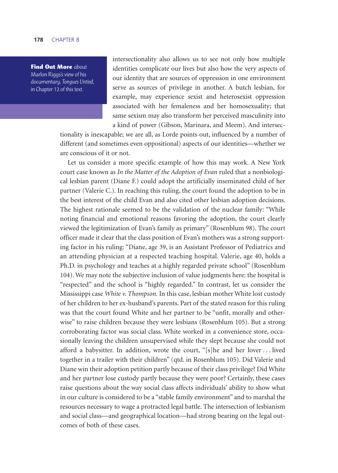#### **178** Chapter 8

Find Out More about Marlon Riggs's view of his documentary, *Tongues Untied,* in Chapter 12 of this text.

intersectionality also allows us to see not only how multiple identities complicate our lives but also how the very aspects of our identity that are sources of oppression in one environment serve as sources of privilege in another. A butch lesbian, for example, may experience sexist and heterosexist oppression associated with her femaleness and her homosexuality; that same sexism may also transform her perceived masculinity into a kind of power (Gibson, Marinara, and Meem). And intersec-

tionality is inescapable; we are all, as Lorde points out, influenced by a number of different (and sometimes even oppositional) aspects of our identities—whether we are conscious of it or not.

Let us consider a more specific example of how this may work. A New York court case known as *In the Matter of the Adoption of Evan* ruled that a nonbiological lesbian parent (Diane F.) could adopt the artificially inseminated child of her partner (Valerie C.). In reaching this ruling, the court found the adoption to be in the best interest of the child Evan and also cited other lesbian adoption decisions. The highest rationale seemed to be the validation of the nuclear family: "While noting financial and emotional reasons favoring the adoption, the court clearly viewed the legitimization of Evan's family as primary" (Rosenblum 98). The court officer made it clear that the class position of Evan's mothers was a strong supporting factor in his ruling: "Diane, age 39, is an Assistant Professor of Pediatrics and an attending physician at a respected teaching hospital. Valerie, age 40, holds a Ph.D. in psychology and teaches at a highly regarded private school" (Rosenblum 104). We may note the subjective inclusion of value judgments here: the hospital is "respected" and the school is "highly regarded." In contrast, let us consider the Mississippi case *White v. Thompson.* In this case, lesbian mother White lost custody of her children to her ex-husband's parents. Part of the stated reason for this ruling was that the court found White and her partner to be "unfit, morally and otherwise" to raise children because they were lesbians (Rosenblum 105). But a strong corroborating factor was social class. White worked in a convenience store, occasionally leaving the children unsupervised while they slept because she could not afford a babysitter. In addition, wrote the court, "[s]he and her lover . . . lived together in a trailer with their children" (qtd. in Rosenblum 105). Did Valerie and Diane win their adoption petition partly because of their class privilege? Did White and her partner lose custody partly because they were poor? Certainly, these cases raise questions about the way social class affects individuals' ability to show what in our culture is considered to be a "stable family environment" and to marshal the resources necessary to wage a protracted legal battle. The intersection of lesbianism and social class—and geographical location—had strong bearing on the legal outcomes of both of these cases.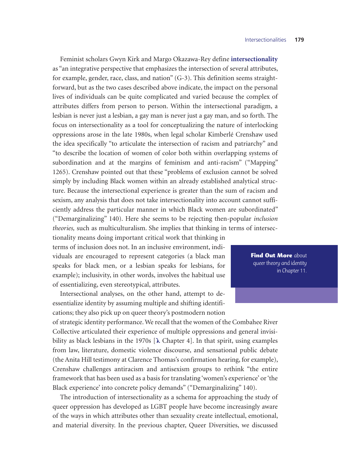Feminist scholars Gwyn Kirk and Margo Okazawa-Rey define **intersectionality** as "an integrative perspective that emphasizes the intersection of several attributes, for example, gender, race, class, and nation" (G-3). This definition seems straightforward, but as the two cases described above indicate, the impact on the personal lives of individuals can be quite complicated and varied because the complex of attributes differs from person to person. Within the intersectional paradigm, a lesbian is never just a lesbian, a gay man is never just a gay man, and so forth. The focus on intersectionality as a tool for conceptualizing the nature of interlocking oppressions arose in the late 1980s, when legal scholar Kimberlé Crenshaw used the idea specifically "to articulate the intersection of racism and patriarchy" and "to describe the location of women of color both within overlapping systems of subordination and at the margins of feminism and anti-racism" ("Mapping" 1265). Crenshaw pointed out that these "problems of exclusion cannot be solved simply by including Black women within an already established analytical structure. Because the intersectional experience is greater than the sum of racism and sexism, any analysis that does not take intersectionality into account cannot sufficiently address the particular manner in which Black women are subordinated" ("Demarginalizing" 140). Here she seems to be rejecting then-popular *inclusion theories,* such as multiculturalism. She implies that thinking in terms of intersec-

tionality means doing important critical work that thinking in terms of inclusion does not. In an inclusive environment, individuals are encouraged to represent categories (a black man speaks for black men, or a lesbian speaks for lesbians, for example); inclusivity, in other words, involves the habitual use of essentializing, even stereotypical, attributes.

Intersectional analyses, on the other hand, attempt to deessentialize identity by assuming multiple and shifting identifications; they also pick up on queer theory's postmodern notion

of strategic identity performance. We recall that the women of the Combahee River Collective articulated their experience of multiple oppressions and general invisibility as black lesbians in the 1970s  $[\lambda \text{ Chapter 4}]$ . In that spirit, using examples from law, literature, domestic violence discourse, and sensational public debate (the Anita Hill testimony at Clarence Thomas's confirmation hearing, for example), Crenshaw challenges antiracism and antisexism groups to rethink "the entire framework that has been used as a basis for translating 'women's experience' or 'the Black experience' into concrete policy demands" ("Demarginalizing" 140).

The introduction of intersectionality as a schema for approaching the study of queer oppression has developed as LGBT people have become increasingly aware of the ways in which attributes other than sexuality create intellectual, emotional, and material diversity. In the previous chapter, Queer Diversities, we discussed

Find Out More about queer theory and identity in Chapter 11.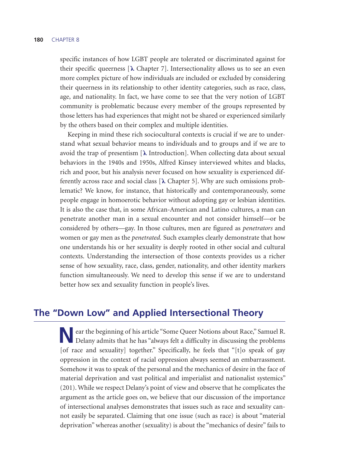specific instances of how LGBT people are tolerated or discriminated against for their specific queerness [ $\lambda$  Chapter 7]. Intersectionality allows us to see an even more complex picture of how individuals are included or excluded by considering their queerness in its relationship to other identity categories, such as race, class, age, and nationality. In fact, we have come to see that the very notion of LGBT community is problematic because every member of the groups represented by those letters has had experiences that might not be shared or experienced similarly by the others based on their complex and multiple identities.

Keeping in mind these rich sociocultural contexts is crucial if we are to understand what sexual behavior means to individuals and to groups and if we are to avoid the trap of presentism [λ Introduction]. When collecting data about sexual behaviors in the 1940s and 1950s, Alfred Kinsey interviewed whites and blacks, rich and poor, but his analysis never focused on how sexuality is experienced differently across race and social class [λ Chapter 5]. Why are such omissions problematic? We know, for instance, that historically and contemporaneously, some people engage in homoerotic behavior without adopting gay or lesbian identities. It is also the case that, in some African-American and Latino cultures, a man can penetrate another man in a sexual encounter and not consider himself—or be considered by others—gay. In those cultures, men are figured as *penetrators* and women or gay men as the *penetrated.* Such examples clearly demonstrate that how one understands his or her sexuality is deeply rooted in other social and cultural contexts. Understanding the intersection of those contexts provides us a richer sense of how sexuality, race, class, gender, nationality, and other identity markers function simultaneously. We need to develop this sense if we are to understand better how sex and sexuality function in people's lives.

### **The "Down Low" and Applied Intersectional Theory**

**N**ear the beginning of his article "Some Queer Notions about Race," Samuel R. Delany admits that he has "always felt a difficulty in discussing the problems" [of race and sexuality] together." Specifically, he feels that "[t]o speak of gay oppression in the context of racial oppression always seemed an embarrassment. Somehow it was to speak of the personal and the mechanics of desire in the face of material deprivation and vast political and imperialist and nationalist systemics" (201). While we respect Delany's point of view and observe that he complicates the argument as the article goes on, we believe that our discussion of the importance of intersectional analyses demonstrates that issues such as race and sexuality cannot easily be separated. Claiming that one issue (such as race) is about "material deprivation" whereas another (sexuality) is about the "mechanics of desire" fails to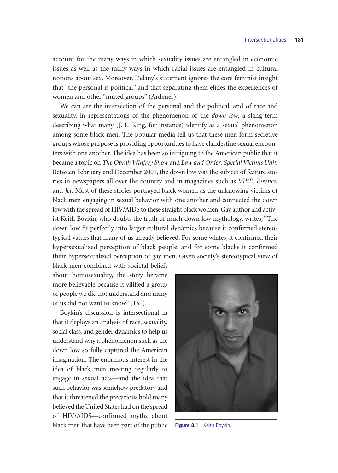account for the many ways in which sexuality issues are entangled in economic issues as well as the many ways in which racial issues are entangled in cultural notions about sex. Moreover, Delany's statement ignores the core feminist insight that "the personal is political" and that separating them elides the experiences of women and other "muted groups" (Ardener).

We can see the intersection of the personal and the political, and of race and sexuality, in representations of the phenomenon of the *down low,* a slang term describing what many (J. L. King, for instance) identify as a sexual phenomenon among some black men. The popular media tell us that these men form secretive groups whose purpose is providing opportunities to have clandestine sexual encounters with one another. The idea has been so intriguing to the American public that it became a topic on *The Oprah Winfrey Show* and *Law and Order: Special Victims Unit.* Between February and December 2001, the down low was the subject of feature stories in newspapers all over the country and in magazines such as *VIBE, Essence,* and *Jet.* Most of these stories portrayed black women as the unknowing victims of black men engaging in sexual behavior with one another and connected the down low with the spread of HIV/AIDS to these straight black women. Gay author and activist Keith Boykin, who doubts the truth of much down low mythology, writes, "The down low fit perfectly into larger cultural dynamics because it confirmed stereotypical values that many of us already believed. For some whites, it confirmed their hypersexualized perception of black people, and for some blacks it confirmed their hypersexualized perception of gay men. Given society's stereotypical view of

black men combined with societal beliefs about homosexuality, the story became more believable because it vilified a group of people we did not understand and many of us did not want to know" (151).

Boykin's discussion is intersectional in that it deploys an analysis of race, sexuality, social class, and gender dynamics to help us understand why a phenomenon such as the down low so fully captured the American imagination. The enormous interest in the idea of black men meeting regularly to engage in sexual acts—and the idea that such behavior was somehow predatory and that it threatened the precarious hold many believed the United States had on the spread of HIV/AIDS—confirmed myths about black men that have been part of the public **Figure 8.1** Keith Boykin.

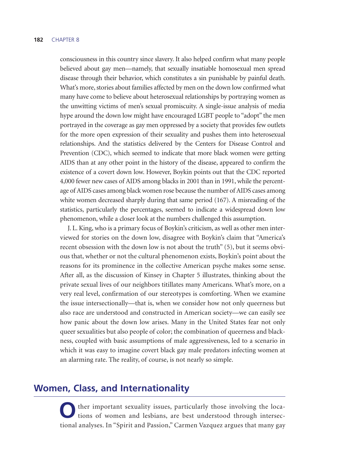consciousness in this country since slavery. It also helped confirm what many people believed about gay men—namely, that sexually insatiable homosexual men spread disease through their behavior, which constitutes a sin punishable by painful death. What's more, stories about families affected by men on the down low confirmed what many have come to believe about heterosexual relationships by portraying women as the unwitting victims of men's sexual promiscuity. A single-issue analysis of media hype around the down low might have encouraged LGBT people to "adopt" the men portrayed in the coverage as gay men oppressed by a society that provides few outlets for the more open expression of their sexuality and pushes them into heterosexual relationships. And the statistics delivered by the Centers for Disease Control and Prevention (CDC), which seemed to indicate that more black women were getting AIDS than at any other point in the history of the disease, appeared to confirm the existence of a covert down low. However, Boykin points out that the CDC reported 4,000 fewer new cases of AIDS among blacks in 2001 than in 1991, while the percentage of AIDS cases among black women rose because the number of AIDS cases among white women decreased sharply during that same period (167). A misreading of the statistics, particularly the percentages, seemed to indicate a widespread down low phenomenon, while a closer look at the numbers challenged this assumption.

J. L. King, who is a primary focus of Boykin's criticism, as well as other men interviewed for stories on the down low, disagree with Boykin's claim that "America's recent obsession with the down low is not about the truth" (5), but it seems obvious that, whether or not the cultural phenomenon exists, Boykin's point about the reasons for its prominence in the collective American psyche makes some sense. After all, as the discussion of Kinsey in Chapter 5 illustrates, thinking about the private sexual lives of our neighbors titillates many Americans. What's more, on a very real level, confirmation of our stereotypes is comforting. When we examine the issue intersectionally—that is, when we consider how not only queerness but also race are understood and constructed in American society—we can easily see how panic about the down low arises. Many in the United States fear not only queer sexualities but also people of color; the combination of queerness and blackness, coupled with basic assumptions of male aggressiveness, led to a scenario in which it was easy to imagine covert black gay male predators infecting women at an alarming rate. The reality, of course, is not nearly so simple.

### **Women, Class, and Internationality**

**Therm** important sexuality issues, particularly those involving the locations of women and lesbians, are best understood through intersectional analyses. In "Spirit and Passion," Carmen Vazquez argues that many gay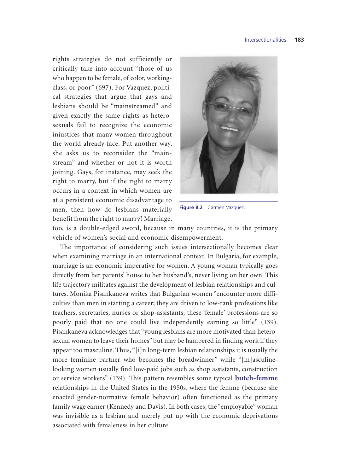rights strategies do not sufficiently or critically take into account "those of us who happen to be female, of color, workingclass, or poor" (697). For Vazquez, political strategies that argue that gays and lesbians should be "mainstreamed" and given exactly the same rights as heterosexuals fail to recognize the economic injustices that many women throughout the world already face. Put another way, she asks us to reconsider the "mainstream" and whether or not it is worth joining. Gays, for instance, may seek the right to marry, but if the right to marry occurs in a context in which women are at a persistent economic disadvantage to men, then how do lesbians materially benefit from the right to marry? Marriage,



**Figure 8.2** Carmen Vazquez.

too, is a double-edged sword, because in many countries, it is the primary vehicle of women's social and economic disempowerment.

The importance of considering such issues intersectionally becomes clear when examining marriage in an international context. In Bulgaria, for example, marriage is an economic imperative for women. A young woman typically goes directly from her parents' house to her husband's, never living on her own. This life trajectory militates against the development of lesbian relationships and cultures. Monika Pisankaneva writes that Bulgarian women "encounter more difficulties than men in starting a career; they are driven to low-rank professions like teachers, secretaries, nurses or shop-assistants; these 'female' professions are so poorly paid that no one could live independently earning so little" (139). Pisankaneva acknowledges that "young lesbians are more motivated than heterosexual women to leave their homes" but may be hampered in finding work if they appear too masculine. Thus, "[i]n long-term lesbian relationships it is usually the more feminine partner who becomes the breadwinner" while "[m]asculinelooking women usually find low-paid jobs such as shop assistants, construction or service workers" (139). This pattern resembles some typical **butch-femme** relationships in the United States in the 1950s, where the femme (because she enacted gender-normative female behavior) often functioned as the primary family wage earner (Kennedy and Davis). In both cases, the "employable" woman was invisible as a lesbian and merely put up with the economic deprivations associated with femaleness in her culture.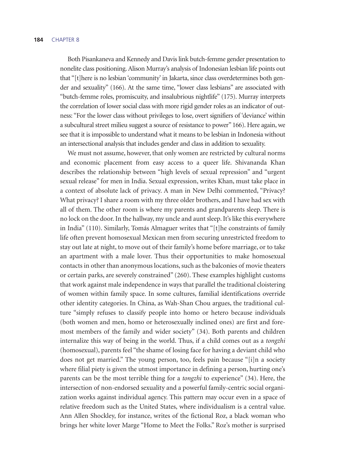Both Pisankaneva and Kennedy and Davis link butch-femme gender presentation to nonelite class positioning. Alison Murray's analysis of Indonesian lesbian life points out that "[t]here is no lesbian 'community' in Jakarta, since class overdetermines both gender and sexuality" (166). At the same time, "lower class lesbians" are associated with "butch-femme roles, promiscuity, and insalubrious nightlife" (175). Murray interprets the correlation of lower social class with more rigid gender roles as an indicator of outness: "For the lower class without privileges to lose, overt signifiers of 'deviance' within a subcultural street milieu suggest a source of resistance to power" 166). Here again, we see that it is impossible to understand what it means to be lesbian in Indonesia without an intersectional analysis that includes gender and class in addition to sexuality.

We must not assume, however, that only women are restricted by cultural norms and economic placement from easy access to a queer life. Shivananda Khan describes the relationship between "high levels of sexual repression" and "urgent sexual release" for men in India. Sexual expression, writes Khan, must take place in a context of absolute lack of privacy. A man in New Delhi commented, "Privacy? What privacy? I share a room with my three older brothers, and I have had sex with all of them. The other room is where my parents and grandparents sleep. There is no lock on the door. In the hallway, my uncle and aunt sleep. It's like this everywhere in India" (110). Similarly, Tomás Almaguer writes that "[t]he constraints of family life often prevent homosexual Mexican men from securing unrestricted freedom to stay out late at night, to move out of their family's home before marriage, or to take an apartment with a male lover. Thus their opportunities to make homosexual contacts in other than anonymous locations, such as the balconies of movie theaters or certain parks, are severely constrained" (260). These examples highlight customs that work against male independence in ways that parallel the traditional cloistering of women within family space. In some cultures, familial identifications override other identity categories. In China, as Wah-Shan Chou argues, the traditional culture "simply refuses to classify people into homo or hetero because individuals (both women and men, homo or heterosexually inclined ones) are first and foremost members of the family and wider society" (34). Both parents and children internalize this way of being in the world. Thus, if a child comes out as a *tongzhi* (homosexual), parents feel "the shame of losing face for having a deviant child who does not get married." The young person, too, feels pain because "[i]n a society where filial piety is given the utmost importance in defining a person, hurting one's parents can be the most terrible thing for a *tongzhi* to experience" (34). Here, the intersection of non-endorsed sexuality and a powerful family-centric social organization works against individual agency. This pattern may occur even in a space of relative freedom such as the United States, where individualism is a central value. Ann Allen Shockley, for instance, writes of the fictional Roz, a black woman who brings her white lover Marge "Home to Meet the Folks." Roz's mother is surprised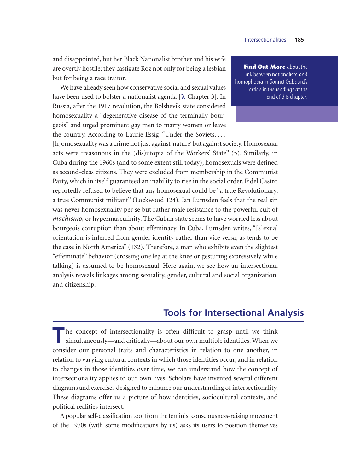and disappointed, but her Black Nationalist brother and his wife are overtly hostile; they castigate Roz not only for being a lesbian but for being a race traitor.

We have already seen how conservative social and sexual values have been used to bolster a nationalist agenda  $[\lambda]$  Chapter 3]. In Russia, after the 1917 revolution, the Bolshevik state considered homosexuality a "degenerative disease of the terminally bourgeois" and urged prominent gay men to marry women or leave the country. According to Laurie Essig, "Under the Soviets, . . .

Find Out More about the link between nationalism and homophobia in Sonnet Gabbard's article in the readings at the end of this chapter.

[h]omosexuality was a crime not just against 'nature' but against society. Homosexual acts were treasonous in the (dis)utopia of the Workers' State" (5). Similarly, in Cuba during the 1960s (and to some extent still today), homosexuals were defined as second-class citizens. They were excluded from membership in the Communist Party, which in itself guaranteed an inability to rise in the social order. Fidel Castro reportedly refused to believe that any homosexual could be "a true Revolutionary, a true Communist militant" (Lockwood 124). Ian Lumsden feels that the real sin was never homosexuality per se but rather male resistance to the powerful cult of *machismo,* or hypermasculinity. The Cuban state seems to have worried less about bourgeois corruption than about effeminacy. In Cuba, Lumsden writes, "[s]exual orientation is inferred from gender identity rather than vice versa, as tends to be the case in North America" (132). Therefore, a man who exhibits even the slightest "effeminate" behavior (crossing one leg at the knee or gesturing expressively while talking) is assumed to be homosexual. Here again, we see how an intersectional analysis reveals linkages among sexuality, gender, cultural and social organization, and citizenship.

### **Tools for Intersectional Analysis**

**T**he concept of intersectionality is often difficult to grasp until we think simultaneously—and critically—about our own multiple identities. When we consider our personal traits and characteristics in relation to one another, in relation to varying cultural contexts in which those identities occur, and in relation to changes in those identities over time, we can understand how the concept of intersectionality applies to our own lives. Scholars have invented several different diagrams and exercises designed to enhance our understanding of intersectionality. These diagrams offer us a picture of how identities, sociocultural contexts, and political realities intersect.

A popular self-classification tool from the feminist consciousness-raising movement of the 1970s (with some modifications by us) asks its users to position themselves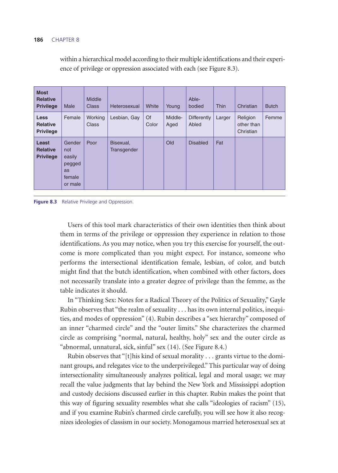within a hierarchical model according to their multiple identifications and their experience of privilege or oppression associated with each (see Figure 8.3).

| <b>Most</b><br><b>Relative</b><br><b>Privilege</b> | Male                                                                | Middle<br><b>Class</b>  | Heterosexual             | White       | Young           | Able-<br>bodied      | Thin   | Christian                           | <b>Butch</b> |
|----------------------------------------------------|---------------------------------------------------------------------|-------------------------|--------------------------|-------------|-----------------|----------------------|--------|-------------------------------------|--------------|
| <b>Less</b><br><b>Relative</b><br><b>Privilege</b> | Female                                                              | Working<br><b>Class</b> | Lesbian, Gay             | Of<br>Color | Middle-<br>Aged | Differently<br>Abled | Larger | Religion<br>other than<br>Christian | Femme        |
| Least<br><b>Relative</b><br><b>Privilege</b>       | Gender<br>not<br>easily<br>pegged<br><b>as</b><br>female<br>or male | Poor                    | Bisexual,<br>Transgender |             | Old             | <b>Disabled</b>      | Fat    |                                     |              |



Users of this tool mark characteristics of their own identities then think about them in terms of the privilege or oppression they experience in relation to those identifications. As you may notice, when you try this exercise for yourself, the outcome is more complicated than you might expect. For instance, someone who performs the intersectional identification female, lesbian, of color, and butch might find that the butch identification, when combined with other factors, does not necessarily translate into a greater degree of privilege than the femme, as the table indicates it should.

In "Thinking Sex: Notes for a Radical Theory of the Politics of Sexuality," Gayle Rubin observes that "the realm of sexuality . . . has its own internal politics, inequities, and modes of oppression" (4). Rubin describes a "sex hierarchy" composed of an inner "charmed circle" and the "outer limits." She characterizes the charmed circle as comprising "normal, natural, healthy, holy" sex and the outer circle as "abnormal, unnatural, sick, sinful" sex (14). (See Figure 8.4.)

Rubin observes that "[t]his kind of sexual morality . . . grants virtue to the dominant groups, and relegates vice to the underprivileged." This particular way of doing intersectionality simultaneously analyzes political, legal and moral usage; we may recall the value judgments that lay behind the New York and Mississippi adoption and custody decisions discussed earlier in this chapter. Rubin makes the point that this way of figuring sexuality resembles what she calls "ideologies of racism" (15), and if you examine Rubin's charmed circle carefully, you will see how it also recognizes ideologies of classism in our society. Monogamous married heterosexual sex at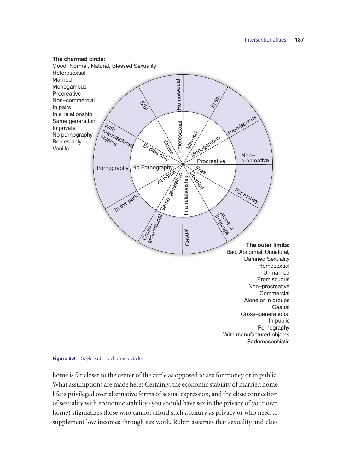



home is far closer to the center of the circle as opposed to sex for money or in public. What assumptions are made here? Certainly, the economic stability of married home life is privileged over alternative forms of sexual expression, and the close connection of sexuality with economic stability (you should have sex in the privacy of your own home) stigmatizes those who cannot afford such a luxury as privacy or who need to supplement low incomes through sex work. Rubin assumes that sexuality and class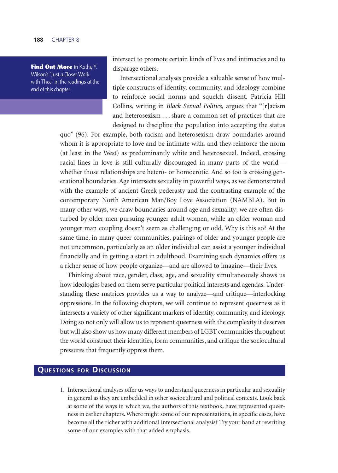**Find Out More** in Kathy Y. Wilson's "Just a Closer Walk with Thee" in the readings at the end of this chapter.

intersect to promote certain kinds of lives and intimacies and to disparage others.

Intersectional analyses provide a valuable sense of how multiple constructs of identity, community, and ideology combine to reinforce social norms and squelch dissent. Patricia Hill Collins, writing in *Black Sexual Politics,* argues that "[r]acism and heterosexism . . . share a common set of practices that are designed to discipline the population into accepting the status

quo" (96). For example, both racism and heterosexism draw boundaries around whom it is appropriate to love and be intimate with, and they reinforce the norm (at least in the West) as predominantly white and heterosexual. Indeed, crossing racial lines in love is still culturally discouraged in many parts of the world whether those relationships are hetero- or homoerotic. And so too is crossing generational boundaries. Age intersects sexuality in powerful ways, as we demonstrated with the example of ancient Greek pederasty and the contrasting example of the contemporary North American Man/Boy Love Association (NAMBLA). But in many other ways, we draw boundaries around age and sexuality; we are often disturbed by older men pursuing younger adult women, while an older woman and younger man coupling doesn't seem as challenging or odd. Why is this so? At the same time, in many queer communities, pairings of older and younger people are not uncommon, particularly as an older individual can assist a younger individual financially and in getting a start in adulthood. Examining such dynamics offers us a richer sense of how people organize—and are allowed to imagine—their lives.

Thinking about race, gender, class, age, and sexuality simultaneously shows us how ideologies based on them serve particular political interests and agendas. Understanding these matrices provides us a way to analyze—and critique—interlocking oppressions. In the following chapters, we will continue to represent queerness as it intersects a variety of other significant markers of identity, community, and ideology. Doing so not only will allow us to represent queerness with the complexity it deserves but will also show us how many different members of LGBT communities throughout the world construct their identities, form communities, and critique the sociocultural pressures that frequently oppress them.

### **Questions for Discussion**

1. Intersectional analyses offer us ways to understand queerness in particular and sexuality in general as they are embedded in other sociocultural and political contexts. Look back at some of the ways in which we, the authors of this textbook, have represented queerness in earlier chapters. Where might some of our representations, in specific cases, have become all the richer with additional intersectional analysis? Try your hand at rewriting some of our examples with that added emphasis.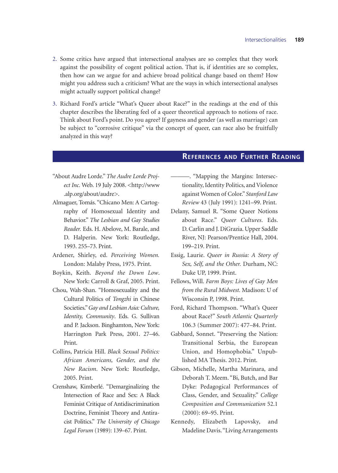- 2. Some critics have argued that intersectional analyses are so complex that they work against the possibility of cogent political action. That is, if identities are so complex, then how can we argue for and achieve broad political change based on them? How might you address such a criticism? What are the ways in which intersectional analyses might actually support political change?
- 3. Richard Ford's article "What's Queer about Race?" in the readings at the end of this chapter describes the liberating feel of a queer theoretical approach to notions of race. Think about Ford's point. Do you agree? If gayness and gender (as well as marriage) can be subject to "corrosive critique" via the concept of queer, can race also be fruitfully analyzed in this way?

#### **References and Further Reading**

- "About Audre Lorde." *The Audre Lorde Proj*ect Inc. Web. 19 July 2008. <http://www .alp.org/about/audre>.
- Almaguer, Tomás. "Chicano Men: A Cartography of Homosexual Identity and Behavior." *The Lesbian and Gay Studies Reader.* Eds. H. Abelove, M. Barale, and D. Halperin. New York: Routledge, 1993. 255–73. Print.
- Ardener, Shirley, ed. *Perceiving Women.*  London: Malaby Press, 1975. Print.
- Boykin, Keith. *Beyond the Down Low*. New York: Carroll & Graf, 2005. Print.
- Chou, Wah-Shan. "Homosexuality and the Cultural Politics of *Tongzhi* in Chinese Societies." *Gay and Lesbian Asia: Culture, Identity, Community*. Eds. G. Sullivan and P. Jackson. Binghamton, New York: Harrington Park Press, 2001. 27–46. Print.
- Collins, Patricia Hill. *Black Sexual Politics: African Americans, Gender, and the New Racism*. New York: Routledge, 2005. Print.
- Crenshaw, Kimberlé. "Demarginalizing the Intersection of Race and Sex: A Black Feminist Critique of Antidiscrimination Doctrine, Feminist Theory and Antiracist Politics." *The University of Chicago Legal Forum* (1989): 139–67. Print.

———. "Mapping the Margins: Intersectionality, Identity Politics, and Violence against Women of Color." *Stanford Law Review* 43 (July 1991): 1241–99. Print.

- Delany, Samuel R. "Some Queer Notions about Race." *Queer Cultures*. Eds. D. Carlin and J. DiGrazia. Upper Saddle River, NJ: Pearson/Prentice Hall, 2004. 199–219. Print.
- Essig, Laurie. *Queer in Russia: A Story of Sex, Self, and the Other.* Durham, NC: Duke UP, 1999. Print.
- Fellows, Will. *Farm Boys: Lives of Gay Men from the Rural Midwest.* Madison: U of Wisconsin P, 1998. Print.
- Ford, Richard Thompson. "What's Queer about Race?" *South Atlantic Quarterly*  106.3 (Summer 2007): 477–84. Print.
- Gabbard, Sonnet. "Preserving the Nation: Transitional Serbia, the European Union, and Homophobia." Unpublished MA Thesis. 2012. Print.
- Gibson, Michelle, Martha Marinara, and Deborah T. Meem. "Bi, Butch, and Bar Dyke: Pedagogical Performances of Class, Gender, and Sexuality." *College Composition and Communication* 52.1 (2000): 69–95. Print.
- Kennedy, Elizabeth Lapovsky, and Madeline Davis. "Living Arrangements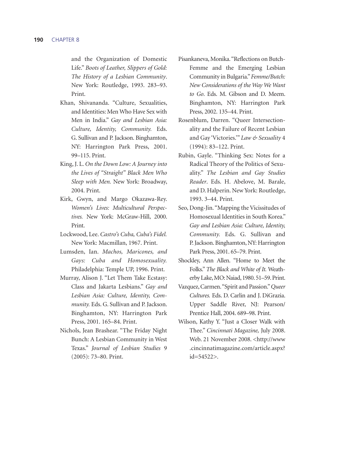and the Organization of Domestic Life." *Boots of Leather, Slippers of Gold: The History of a Lesbian Community*. New York: Routledge, 1993. 283–93. Print.

- Khan, Shivananda. "Culture, Sexualities, and Identities: Men Who Have Sex with Men in India." *Gay and Lesbian Asia: Culture, Identity, Community.* Eds. G. Sullivan and P. Jackson. Binghamton, NY: Harrington Park Press, 2001. 99–115. Print.
- King, J. L. *On the Down Low: A Journey into the Lives of "Straight" Black Men Who Sleep with Men.* New York: Broadway, 2004. Print.
- Kirk, Gwyn, and Margo Okazawa-Rey. *Women's Lives: Multicultural Perspectives.* New York: McGraw-Hill, 2000. Print.
- Lockwood, Lee. *Castro's Cuba, Cuba's Fidel.* New York: Macmillan, 1967. Print.
- Lumsden, Ian. *Machos, Maricones, and Gays: Cuba and Homosexuality.* Philadelphia: Temple UP, 1996. Print.
- Murray, Alison J. "Let Them Take Ecstasy: Class and Jakarta Lesbians." *Gay and Lesbian Asia: Culture, Identity, Community.* Eds. G. Sullivan and P. Jackson. Binghamton, NY: Harrington Park Press, 2001. 165–84. Print.
- Nichols, Jean Brashear. "The Friday Night Bunch: A Lesbian Community in West Texas." *Journal of Lesbian Studies* 9 (2005): 73–80. Print.
- Pisankaneva, Monika. "Reflections on Butch-Femme and the Emerging Lesbian Community in Bulgaria." *Femme/Butch: New Considerations of the Way We Want to Go*. Eds. M. Gibson and D. Meem. Binghamton, NY: Harrington Park Press, 2002. 135–44. Print.
- Rosenblum, Darren. "Queer Intersectionality and the Failure of Recent Lesbian and Gay 'Victories.'" *Law & Sexuality* 4 (1994): 83–122. Print.
- Rubin, Gayle. "Thinking Sex: Notes for a Radical Theory of the Politics of Sexuality." *The Lesbian and Gay Studies Reader*. Eds. H. Abelove, M. Barale, and D. Halperin. New York: Routledge, 1993. 3–44. Print.
- Seo, Dong-Jin. "Mapping the Vicissitudes of Homosexual Identities in South Korea." *Gay and Lesbian Asia: Culture, Identity, Community.* Eds. G. Sullivan and P. Jackson. Binghamton, NY: Harrington Park Press, 2001. 65–79. Print.
- Shockley, Ann Allen. "Home to Meet the Folks." *The Black and White of It.* Weatherby Lake, MO: Naiad, 1980. 51–59. Print.
- Vazquez, Carmen. "Spirit and Passion." *Queer Cultures.* Eds. D. Carlin and J. DiGrazia. Upper Saddle River, NJ: Pearson/ Prentice Hall, 2004. 689–98. Print.
- Wilson, Kathy Y. "Just a Closer Walk with Thee." *Cincinnati Magazine,* July 2008. Web. 21 November 2008. <http://www .cincinnatimagazine.com/article.aspx? id=54522>.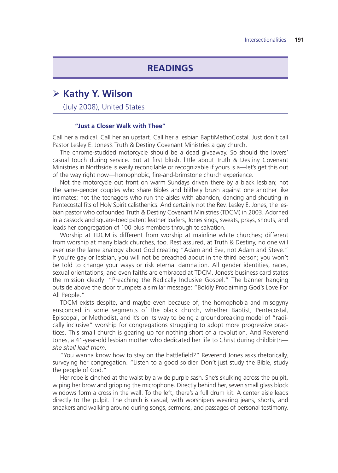### **READINGS**

### ¾ **Kathy Y. Wilson**

(July 2008), United States

#### **"Just a Closer Walk with Thee"**

Call her a radical. Call her an upstart. Call her a lesbian BaptiMethoCostal. Just don't call Pastor Lesley E. Jones's Truth & Destiny Covenant Ministries a gay church.

The chrome-studded motorcycle should be a dead giveaway. So should the lovers' casual touch during service. But at first blush, little about Truth & Destiny Covenant Ministries in Northside is easily reconcilable or recognizable if yours is a—let's get this out of the way right now—homophobic, fire-and-brimstone church experience.

Not the motorcycle out front on warm Sundays driven there by a black lesbian; not the same-gender couples who share Bibles and blithely brush against one another like intimates; not the teenagers who run the aisles with abandon, dancing and shouting in Pentecostal fits of Holy Spirit calisthenics. And certainly not the Rev. Lesley E. Jones, the lesbian pastor who cofounded Truth & Destiny Covenant Ministries (TDCM) in 2003. Adorned in a cassock and square-toed patent leather loafers, Jones sings, sweats, prays, shouts, and leads her congregation of 100-plus members through to salvation.

Worship at TDCM is different from worship at mainline white churches; different from worship at many black churches, too. Rest assured, at Truth & Destiny, no one will ever use the lame analogy about God creating "Adam and Eve, not Adam and Steve." If you're gay or lesbian, you will not be preached about in the third person; you won't be told to change your ways or risk eternal damnation. All gender identities, races, sexual orientations, and even faiths are embraced at TDCM. Jones's business card states the mission clearly: "Preaching the Radically Inclusive Gospel." The banner hanging outside above the door trumpets a similar message: "Boldly Proclaiming God's Love For All People."

TDCM exists despite, and maybe even because of, the homophobia and misogyny ensconced in some segments of the black church, whether Baptist, Pentecostal, Episcopal, or Methodist, and it's on its way to being a groundbreaking model of "radically inclusive" worship for congregations struggling to adopt more progressive practices. This small church is gearing up for nothing short of a revolution. And Reverend Jones, a 41-year-old lesbian mother who dedicated her life to Christ during childbirth *she shall lead them.*

"You wanna know how to stay on the battlefield?" Reverend Jones asks rhetorically, surveying her congregation. "Listen to a good soldier. Don't just study the Bible, study the people of God."

Her robe is cinched at the waist by a wide purple sash. She's skulking across the pulpit, wiping her brow and gripping the microphone. Directly behind her, seven small glass block windows form a cross in the wall. To the left, there's a full drum kit. A center aisle leads directly to the pulpit. The church is casual, with worshipers wearing jeans, shorts, and sneakers and walking around during songs, sermons, and passages of personal testimony.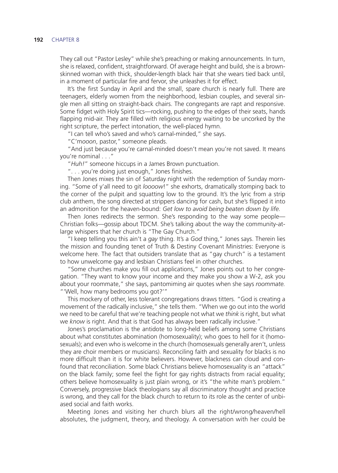They call out "Pastor Lesley" while she's preaching or making announcements. In turn, she is relaxed, confident, straightforward. Of average height and build, she is a brownskinned woman with thick, shoulder-length black hair that she wears tied back until, in a moment of particular fire and fervor, she unleashes it for effect.

It's the first Sunday in April and the small, spare church is nearly full. There are teenagers, elderly women from the neighborhood, lesbian couples, and several single men all sitting on straight-back chairs. The congregants are rapt and responsive. Some fidget with Holy Spirit tics—rocking, pushing to the edges of their seats, hands flapping mid-air. They are filled with religious energy waiting to be uncorked by the right scripture, the perfect intonation, the well-placed hymn.

"I can tell who's saved and who's carnal-minded," she says.

"C'm*ooon*, pastor," someone pleads.

"And just because you're carnal-minded doesn't mean you're not saved. It means you're nominal . . ."

"*Huh!*" someone hiccups in a James Brown punctuation.

". . . you're doing just enough," Jones finishes.

Then Jones mixes the sin of Saturday night with the redemption of Sunday morning. "Some of y'all need to git *loooow*!" she exhorts, dramatically stomping back to the corner of the pulpit and squatting low to the ground. It's the lyric from a strip club anthem, the song directed at strippers dancing for cash, but she's flipped it into an admonition for the heaven-bound: *Get low to avoid being beaten down by life.*

Then Jones redirects the sermon. She's responding to the way some people— Christian folks—gossip about TDCM. She's talking about the way the community-atlarge whispers that her church is "The Gay Church."

"I keep telling you this ain't a *gay* thing. It's a *God* thing," Jones says. Therein lies the mission and founding tenet of Truth & Destiny Covenant Ministries: Everyone is welcome here. The fact that outsiders translate that as "gay church" is a testament to how unwelcome gay and lesbian Christians feel in other churches.

"Some churches make you fill out applications," Jones points out to her congregation. "They want to know your income and they make you show a W-2, ask you about your roommate," she says, pantomiming air quotes when she says *roommate.* "'Well, how many bedrooms you got?'"

This mockery of other, less tolerant congregations draws titters. "God is creating a movement of the radically inclusive," she tells them. "When we go out into the world we need to be careful that we're teaching people not what we *think* is right, but what we *know* is right. And that is that God has always been radically inclusive."

Jones's proclamation is the antidote to long-held beliefs among some Christians about what constitutes abomination (homosexuality); who goes to hell for it (homosexuals); and even who is welcome in the church (homosexuals generally aren't, unless they are choir members or musicians). Reconciling faith and sexuality for blacks is no more difficult than it is for white believers. However, blackness can cloud and confound that reconciliation. Some black Christians believe homosexuality is an "attack" on the black family; some feel the fight for gay rights distracts from racial equality; others believe homosexuality is just plain wrong, or it's "the white man's problem." Conversely, progressive black theologians say all discriminatory thought and practice is wrong, and they call for the black church to return to its role as the center of unbiased social and faith works.

Meeting Jones and visiting her church blurs all the right/wrong/heaven/hell absolutes, the judgment, theory, and theology. A conversation with her could be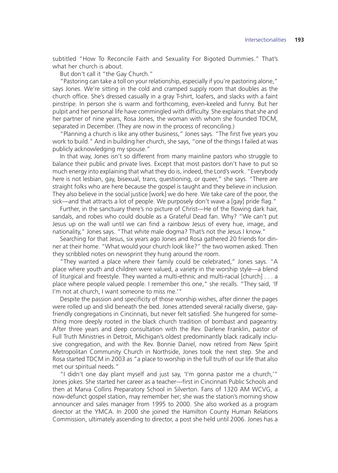subtitled "How To Reconcile Faith and Sexuality For Bigoted Dummies." That's what her church is about.

But don't call it "the Gay Church."

"Pastoring can take a toll on your relationship, especially if you're pastoring alone," says Jones. We're sitting in the cold and cramped supply room that doubles as the church office. She's dressed casually in a gray T-shirt, loafers, and slacks with a faint pinstripe. In person she is warm and forthcoming, even-keeled and funny. But her pulpit and her personal life have commingled with difficulty. She explains that she and her partner of nine years, Rosa Jones, the woman with whom she founded TDCM, separated in December. (They are now in the process of reconciling.)

"Planning a church is like any other business," Jones says. "The first five years you work to build." And in building her church, she says, "one of the things I failed at was publicly acknowledging my spouse."

In that way, Jones isn't so different from many mainline pastors who struggle to balance their public and private lives. Except that most pastors don't have to put so much energy into explaining that what they do is, indeed, the Lord's work. "Everybody here is not lesbian, gay, bisexual, trans, questioning, or queer," she says. "There are straight folks who are here because the gospel is taught and they believe in inclusion. They also believe in the social justice [work] we do here. We take care of the poor, the sick—and that attracts a lot of people. We purposely don't wave a [qay] pride flag."

Further, in the sanctuary there's no picture of Christ—He of the flowing dark hair, sandals, and robes who could double as a Grateful Dead fan. Why? "We can't put Jesus up on the wall until we can find a rainbow Jesus of every hue, image, and nationality," Jones says. "That white male dogma? That's not the Jesus I know."

Searching for that Jesus, six years ago Jones and Rosa gathered 20 friends for dinner at their home. "What would your church look like?" the two women asked. Then they scribbled notes on newsprint they hung around the room.

"They wanted a place where their family could be celebrated," Jones says. "A place where youth and children were valued, a variety in the worship style—a blend of liturgical and freestyle. They wanted a multi-ethnic and multi-racial [church] . . . a place where people valued people. I remember this one," she recalls. "They said, 'If I'm not at church, I want someone to miss me.'"

Despite the passion and specificity of those worship wishes, after dinner the pages were rolled up and slid beneath the bed. Jones attended several racially diverse, gayfriendly congregations in Cincinnati, but never felt satisfied. She hungered for something more deeply rooted in the black church tradition of bombast and pageantry. After three years and deep consultation with the Rev. Darlene Franklin, pastor of Full Truth Ministries in Detroit, Michigan's oldest predominantly black radically inclusive congregation, and with the Rev. Bonnie Daniel, now retired from New Spirit Metropolitan Community Church in Northside, Jones took the next step. She and Rosa started TDCM in 2003 as "a place to worship in the full truth of our life that also met our spiritual needs."

"I didn't one day plant myself and just say, 'I'm gonna pastor me a church,'" Jones jokes. She started her career as a teacher—first in Cincinnati Public Schools and then at Marva Collins Preparatory School in Silverton. Fans of 1320 AM WCVG, a now-defunct gospel station, may remember her; she was the station's morning show announcer and sales manager from 1995 to 2000. She also worked as a program director at the YMCA. In 2000 she joined the Hamilton County Human Relations Commission, ultimately ascending to director, a post she held until 2006. Jones has a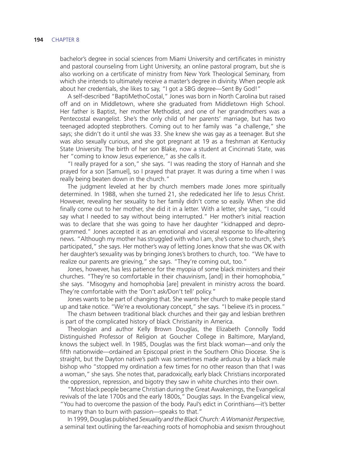bachelor's degree in social sciences from Miami University and certificates in ministry and pastoral counseling from Light University, an online pastoral program, but she is also working on a certificate of ministry from New York Theological Seminary, from which she intends to ultimately receive a master's degree in divinity. When people ask about her credentials, she likes to say, "I got a SBG degree—Sent By God!"

A self-described "BaptiMethoCostal," Jones was born in North Carolina but raised off and on in Middletown, where she graduated from Middletown High School. Her father is Baptist, her mother Methodist, and one of her grandmothers was a Pentecostal evangelist. She's the only child of her parents' marriage, but has two teenaged adopted stepbrothers. Coming out to her family was "a challenge," she says; she didn't do it until she was 33. She knew she was gay as a teenager. But she was also sexually curious, and she got pregnant at 19 as a freshman at Kentucky State University. The birth of her son Blake, now a student at Cincinnati State, was her "coming to know Jesus experience," as she calls it.

"I really prayed for a son," she says. "I was reading the story of Hannah and she prayed for a son [Samuel], so I prayed that prayer. It was during a time when I was really being beaten down in the church."

The judgment leveled at her by church members made Jones more spiritually determined. In 1988, when she turned 21, she rededicated her life to Jesus Christ. However, revealing her sexuality to her family didn't come so easily. When she did finally come out to her mother, she did it in a letter. With a letter, she says, "I could say what I needed to say without being interrupted." Her mother's initial reaction was to declare that she was going to have her daughter "kidnapped and deprogrammed." Jones accepted it as an emotional and visceral response to life-altering news. "Although my mother has struggled with who I am, she's come to church, she's participated," she says. Her mother's way of letting Jones know that she was OK with her daughter's sexuality was by bringing Jones's brothers to church, too. "We have to realize our parents are grieving," she says. "They're coming out, too."

Jones, however, has less patience for the myopia of some black ministers and their churches. "They're so comfortable in their chauvinism, [and] in their homophobia," she says. "Misogyny and homophobia [are] prevalent in ministry across the board. They're comfortable with the 'Don't ask/Don't tell' policy."

Jones wants to be part of changing that. She wants her church to make people stand up and take notice. "We're a revolutionary concept," she says. "I believe it's in process."

The chasm between traditional black churches and their gay and lesbian brethren is part of the complicated history of black Christianity in America.

Theologian and author Kelly Brown Douglas, the Elizabeth Connolly Todd Distinguished Professor of Religion at Goucher College in Baltimore, Maryland, knows the subject well. In 1985, Douglas was the first black woman—and only the fifth nationwide—ordained an Episcopal priest in the Southern Ohio Diocese. She is straight, but the Dayton native's path was sometimes made arduous by a black male bishop who "stopped my ordination a few times for no other reason than that I was a woman," she says. She notes that, paradoxically, early black Christians incorporated the oppression, repression, and bigotry they saw in white churches into their own.

"Most black people became Christian during the Great Awakenings, the Evangelical revivals of the late 1700s and the early 1800s," Douglas says. In the Evangelical view, "You had to overcome the passion of the body. Paul's edict in Corinthians—it's better to marry than to burn with passion—speaks to that."

In 1999, Douglas published *Sexuality and the Black Church: A Womanist Perspective,* a seminal text outlining the far-reaching roots of homophobia and sexism throughout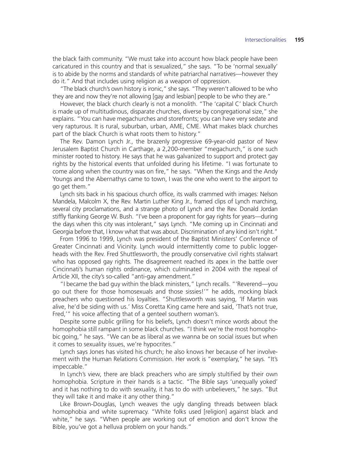the black faith community. "We must take into account how black people have been caricatured in this country and that is sexualized," she says. "To be 'normal sexually' is to abide by the norms and standards of white patriarchal narratives—however they do it." And that includes using religion as a weapon of oppression.

"The black church's own history is ironic," she says. "They weren't allowed to be who they are and now they're not allowing [gay and lesbian] people to be who they are."

However, the black church clearly is not a monolith. "The 'capital C' black Church is made up of multitudinous, disparate churches, diverse by congregational size," she explains. "You can have megachurches and storefronts; you can have very sedate and very rapturous. It is rural, suburban, urban, AME, CME. What makes black churches part of the black Church is what roots them to history."

The Rev. Damon Lynch Jr., the brazenly progressive 69-year-old pastor of New Jerusalem Baptist Church in Carthage, a 2,200-member "megachurch," is one such minister rooted to history. He says that he was galvanized to support and protect gay rights by the historical events that unfolded during his lifetime. "I was fortunate to come along when the country was on fire," he says. "When the Kings and the Andy Youngs and the Abernathys came to town, I was the one who went to the airport to go get them."

Lynch sits back in his spacious church office, its walls crammed with images: Nelson Mandela, Malcolm X, the Rev. Martin Luther King Jr., framed clips of Lynch marching, several city proclamations, and a strange photo of Lynch and the Rev. Donald Jordan stiffly flanking George W. Bush. "I've been a proponent for gay rights for years—during the days when this city was intolerant," says Lynch. "Me coming up in Cincinnati and Georgia before that, I know what that was about. Discrimination of any kind isn't right."

From 1996 to 1999, Lynch was president of the Baptist Ministers' Conference of Greater Cincinnati and Vicinity. Lynch would intermittently come to public loggerheads with the Rev. Fred Shuttlesworth, the proudly conservative civil rights stalwart who has opposed gay rights. The disagreement reached its apex in the battle over Cincinnati's human rights ordinance, which culminated in 2004 with the repeal of Article XII, the city's so-called "anti-gay amendment."

"I became the bad guy within the black ministers," Lynch recalls. "'Reverend—you go out there for those homosexuals and those sissies!'" he adds, mocking black preachers who questioned his loyalties. "Shuttlesworth was saying, 'If Martin was alive, he'd be siding with us.' Miss Coretta King came here and said, 'That's not true, Fred,'" his voice affecting that of a genteel southern woman's.

Despite some public grilling for his beliefs, Lynch doesn't mince words about the homophobia still rampant in some black churches. "I think we're the most homophobic going," he says. "We can be as liberal as we wanna be on social issues but when it comes to sexuality issues, we're hypocrites."

Lynch says Jones has visited his church; he also knows her because of her involvement with the Human Relations Commission. Her work is "exemplary," he says. "It's impeccable."

In Lynch's view, there are black preachers who are simply stultified by their own homophobia. Scripture in their hands is a tactic. "The Bible says 'unequally yoked' and it has nothing to do with sexuality, it has to do with unbelievers," he says. "But they will take it and make it any other thing."

Like Brown-Douglas, Lynch weaves the ugly dangling threads between black homophobia and white supremacy. "White folks used [religion] against black and white," he says. "When people are working out of emotion and don't know the Bible, you've got a helluva problem on your hands."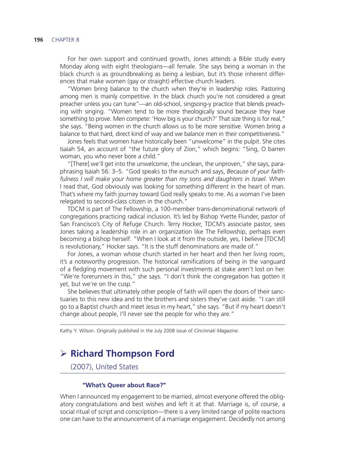For her own support and continued growth, Jones attends a Bible study every Monday along with eight theologians—all female. She says being a woman in the black church is as groundbreaking as being a lesbian, but it's those inherent differences that make women (gay or straight) effective church leaders.

"Women bring balance to the church when they're in leadership roles. Pastoring among men is mainly competitive. In the black church you're not considered a great preacher unless you can tune"—an old-school, singsong-y practice that blends preaching with singing. "Women tend to be more theologically sound because they have something to prove. Men compete: 'How big is your church?' That size thing is for real," she says. "Being women in the church allows us to be more sensitive. Women bring a balance to that hard, direct kind of way and we balance men in their competitiveness."

Jones feels that women have historically been "unwelcome" in the pulpit. She cites Isaiah 54, an account of "the future glory of Zion," which begins: "Sing, O barren woman, you who never bore a child."

"[There] we'll get into the unwelcome, the unclean, the unproven," she says, paraphrasing Isaiah 56: 3–5. "God speaks to the eunuch and says, *Because of your faithfulness I will make your home greater than my sons and daughters in Israel.* When I read that, God obviously was looking for something different in the heart of man. That's where my faith journey toward God really speaks to me. As a woman I've been relegated to second-class citizen in the church."

TDCM is part of The Fellowship, a 100-member trans-denominational network of congregations practicing radical inclusion. It's led by Bishop Yvette Flunder, pastor of San Francisco's City of Refuge Church. Terry Hocker, TDCM's associate pastor, sees Jones taking a leadership role in an organization like The Fellowship, perhaps even becoming a bishop herself. "When I look at it from the outside, yes, I believe [TDCM] is revolutionary," Hocker says. "It is the stuff denominations are made of."

For Jones, a woman whose church started in her heart and then her living room, it's a noteworthy progression. The historical ramifications of being in the vanguard of a fledgling movement with such personal investments at stake aren't lost on her. "We're forerunners in this," she says. "I don't think the congregation has gotten it yet, but we're on the cusp."

She believes that ultimately other people of faith will open the doors of their sanctuaries to this new idea and to the brothers and sisters they've cast aside. "I can still go to a Baptist church and meet Jesus in my heart," she says. "But if my heart doesn't change about people, I'll never see the people for who they are."

Kathy Y. Wilson. Originally published in the July 2008 issue of *Cincinnati Magazine.*

### ¾ **Richard Thompson Ford**

(2007), United States

#### **"What's Queer about Race?"**

When I announced my engagement to be married, almost everyone offered the obligatory congratulations and best wishes and left it at that. Marriage is, of course, a social ritual of script and conscription—there is a very limited range of polite reactions one can have to the announcement of a marriage engagement. Decidedly not among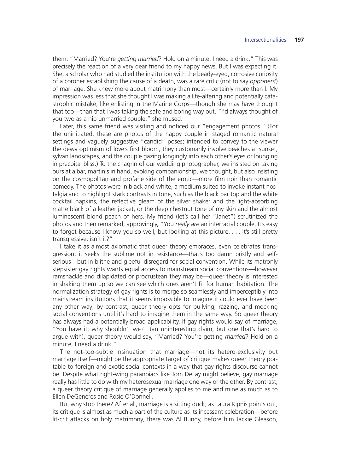them: "Married? You're *getting married*? Hold on a minute, I need a drink." This was precisely the reaction of a very dear friend to my happy news. But I was expecting it. She, a scholar who had studied the institution with the beady-eyed, corrosive curiosity of a coroner establishing the cause of a death, was a rare critic (not to say *opponent*) of marriage. She knew more about matrimony than most—certainly more than I. My impression was less that she thought I was making a life-altering and potentially catastrophic mistake, like enlisting in the Marine Corps—though she may have thought that too—than that I was taking the safe and boring way out. "I'd always thought of you two as a hip unmarried couple," she mused.

Later, this same friend was visiting and noticed our "engagement photos." (For the uninitiated: these are photos of the happy couple in staged romantic natural settings and vaguely suggestive "candid" poses; intended to convey to the viewer the dewy optimism of love's first bloom, they customarily involve beaches at sunset, sylvan landscapes, and the couple gazing longingly into each other's eyes or lounging in precoital bliss.) To the chagrin of our wedding photographer, we insisted on taking ours at a bar, martinis in hand, evoking companionship, we thought, but also insisting on the cosmopolitan and profane side of the erotic—more film noir than romantic comedy. The photos were in black and white, a medium suited to invoke instant nostalgia and to highlight stark contrasts in tone, such as the black bar top and the white cocktail napkins, the reflective gleam of the silver shaker and the light-absorbing matte black of a leather jacket, or the deep chestnut tone of my skin and the almost luminescent blond peach of hers. My friend (let's call her "Janet") scrutinized the photos and then remarked, approvingly, "You *really are* an interracial couple. It's easy to forget because I know you so well, but looking at this picture. . . . It's still pretty transgressive, isn't it?"

I take it as almost axiomatic that queer theory embraces, even celebrates transgression; it seeks the sublime not in resistance—that's too damn bristly and selfserious—but in blithe and gleeful disregard for social convention. While its matronly stepsister gay rights wants equal access to mainstream social conventions—however ramshackle and dilapidated or procrustean they may be—queer theory is interested in shaking them up so we can see which ones aren't fit for human habitation. The normalization strategy of gay rights is to merge so seamlessly and imperceptibly into mainstream institutions that it seems impossible to imagine it could ever have been any other way; by contrast, queer theory opts for bullying, razzing, and mocking social conventions until it's hard to imagine them in the same way. So queer theory has always had a potentially broad applicability. If gay rights would say of marriage, "You have it; why shouldn't we?" (an uninteresting claim, but one that's hard to argue with), queer theory would say, "Married? You're getting *married*? Hold on a minute, I need a drink."

The not-too-subtle insinuation that marriage—not its hetero-exclusivity but marriage itself—might be the appropriate target of critique makes queer theory portable to foreign and exotic social contexts in a way that gay rights discourse cannot be. Despite what right-wing paranoiacs like Tom DeLay might believe, gay marriage really has little to do with my heterosexual marriage one way or the other. By contrast, a queer theory critique of marriage generally applies to me and mine as much as to Ellen DeGeneres and Rosie O'Donnell.

But why stop there? After all, marriage is a sitting duck; as Laura Kipnis points out, its critique is almost as much a part of the culture as its incessant celebration—before lit-crit attacks on holy matrimony, there was Al Bundy, before him Jackie Gleason,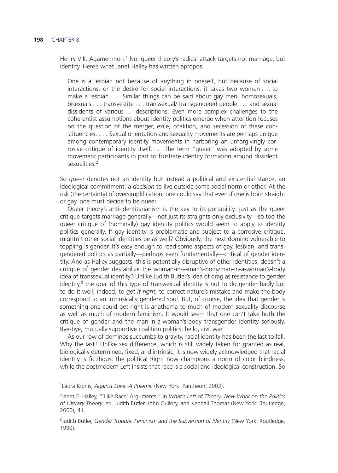Henry VIII, Agamemnon.<sup>1</sup> No, queer theory's radical attack targets not marriage, but identity. Here's what Janet Halley has written apropos:

One is a lesbian not because of anything in oneself, but because of social interactions, or the desire for social interactions: it takes two women . . . to make a lesbian. . . . Similar things can be said about gay men, homosexuals, bisexuals . . . transvestite . . . transsexual/ transgendered people . . . and sexual dissidents of various . . . descriptions. Even more complex challenges to the coherentist assumptions about identity politics emerge when attention focuses on the question of the merger, exile, coalition, and secession of these constituencies. . . . Sexual orientation and sexuality movements are perhaps unique among contemporary identity movements in harboring an unforgivingly corrosive critique of identity itself. . . . The term "queer" was adopted by some movement participants in part to frustrate identity formation around dissident sexualities.2

So *queer* denotes not an identity but instead a political and existential stance, an ideological commitment, a *decision* to live outside some social norm or other. At the risk (the certainty) of oversimplification, one could say that even if one is born straight or gay, one must decide to be queer.

Queer theory's anti-identitarianism is the key to its portability: just as the queer critique targets marriage generally—not just its straights-only exclusivity—so too the queer critique of (nominally) gay identity politics would seem to apply to identity politics generally. If gay identity is problematic and subject to a corrosive critique, mightn't other social identities be as well? Obviously, the next domino vulnerable to toppling is gender. It's easy enough to read some aspects of gay, lesbian, and transgendered politics as partially—perhaps even fundamentally—critical of gender identity. And as Halley suggests, this is potentially disruptive of other identities: doesn't a critique of gender destabilize the woman-in-a-man's-body/man-in-a-woman's-body idea of transsexual identity? Unlike Judith Butler's idea of drag as resistance to gender identity, $3$  the goal of this type of transsexual identity is not to do gender badly but to do it well; indeed, to *get it right*, to correct nature's mistake and make the body correspond to an intrinsically gendered soul. But, of course, the idea that gender is something one could get right is anathema to much of modern sexuality discourse as well as much of modern feminism. It would seem that one can't take both the critique of gender and the man-in-a-woman's-body transgender identity seriously. Bye-bye, mutually supportive coalition politics; hello, civil war.

As our row of dominos succumbs to gravity, racial identity has been the last to fall. Why the last? Unlike sex difference, which is still widely taken for granted as real, biologically determined, fixed, and intrinsic, it is now widely acknowledged that racial identity is fictitious: the political Right now champions a norm of color blindness, while the postmodern Left insists that race is a social and ideological construction. So

<sup>1</sup> Laura Kipnis, *Against Love: A Polemic* (New York: Pantheon, 2003).

<sup>2</sup> Janet E. Halley, "'Like Race' Arguments," in *What's Left of Theory: New Work on the Politics of Literary Theory*, ed. Judith Butler, John Guilory, and Kendall Thomas (New York: Routledge, 2000), 41.

<sup>3</sup> Judith Butler, *Gender Trouble: Feminism and the Subversion of Identity* (New York: Routledge, 1990).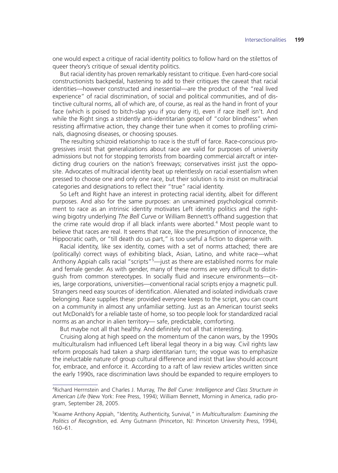one would expect a critique of racial identity politics to follow hard on the stilettos of queer theory's critique of sexual identity politics.

But racial identity has proven remarkably resistant to critique. Even hard-core social constructionists backpedal, hastening to add to their critiques the caveat that racial identities—however constructed and inessential—are the product of the "real lived experience" of racial discrimination, of social and political communities, and of distinctive cultural norms, all of which are, of course, as real as the hand in front of your face (which is poised to bitch-slap you if you deny it), even if race itself isn't. And while the Right sings a stridently anti-identitarian gospel of "color blindness" when resisting affirmative action, they change their tune when it comes to profiling criminals, diagnosing diseases, or choosing spouses.

The resulting schizoid relationship to race is the stuff of farce. Race-conscious progressives insist that generalizations about race are valid for purposes of university admissions but not for stopping terrorists from boarding commercial aircraft or interdicting drug couriers on the nation's freeways; conservatives insist just the opposite. Advocates of multiracial identity beat up relentlessly on racial essentialism when pressed to choose one and only one race, but their solution is to insist on multiracial categories and designations to reflect their "true" racial identity.

So Left and Right have an interest in protecting racial identity, albeit for different purposes. And also for the same purposes: an unexamined psychological commitment to race as an intrinsic identity motivates Left identity politics and the rightwing bigotry underlying *The Bell Curve* or William Bennett's offhand suggestion that the crime rate would drop if all black infants were aborted.<sup>4</sup> Most people want to believe that races are real. It seems that race, like the presumption of innocence, the Hippocratic oath, or "till death do us part," is too useful a fiction to dispense with.

Racial identity, like sex identity, comes with a set of norms attached; there are (politically) correct ways of exhibiting black, Asian, Latino, and white race—what Anthony Appiah calls racial "scripts"<sup>5</sup>—just as there are established norms for male and female gender. As with gender, many of these norms are very difficult to distinguish from common stereotypes. In socially fluid and insecure environments—cities, large corporations, universities—conventional racial scripts enjoy a magnetic pull. Strangers need easy sources of identification. Alienated and isolated individuals crave belonging. Race supplies these: provided everyone keeps to the script, you can count on a community in almost any unfamiliar setting. Just as an American tourist seeks out McDonald's for a reliable taste of home, so too people look for standardized racial norms as an anchor in alien territory— safe, predictable, comforting.

But maybe not all that healthy. And definitely not all that interesting.

Cruising along at high speed on the momentum of the canon wars, by the 1990s multiculturalism had influenced Left liberal legal theory in a big way. Civil rights law reform proposals had taken a sharp identitarian turn; the vogue was to emphasize the ineluctable nature of group cultural difference and insist that law should account for, embrace, and enforce it. According to a raft of law review articles written since the early 1990s, race discrimination laws should be expanded to require employers to

<sup>4</sup> Richard Herrnstein and Charles J. Murray, *The Bell Curve: Intelligence and Class Structure in American Life* (New York: Free Press, 1994); William Bennett, Morning in America, radio program, September 28, 2005.

<sup>5</sup> Kwame Anthony Appiah, "Identity, Authenticity, Survival," in *Multiculturalism: Examining the Politics of Recognition*, ed. Amy Gutmann (Princeton, NJ: Princeton University Press, 1994), 160–61.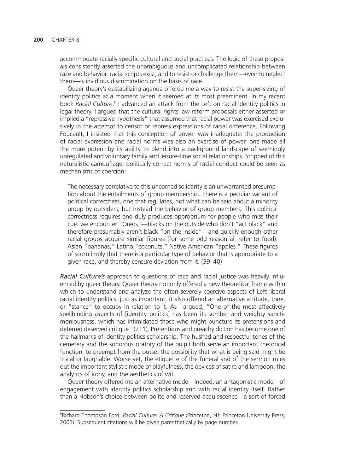accommodate racially specific cultural and social practices. The logic of these proposals consistently asserted the unambiguous and uncomplicated relationship between race and behavior: racial scripts exist, and to resist or challenge them—even to neglect them—is invidious discrimination on the basis of race.

Queer theory's destabilizing agenda offered me a way to resist the super-sizing of identity politics at a moment when it seemed at its most preeminent. In my recent book Racial Culture,<sup>6</sup> I advanced an attack from the Left on racial identity politics in legal theory. I argued that the cultural rights law reform proposals either asserted or implied a "repressive hypothesis" that assumed that racial power was exercised exclusively in the attempt to censor or repress expressions of racial difference. Following Foucault, I insisted that this conception of power was inadequate: the production of racial expression and racial norms was also an exercise of power, one made all the more potent by its ability to blend into a background landscape of seemingly unregulated and voluntary family and leisure-time social relationships. Stripped of this naturalistic camouflage, politically correct norms of racial conduct could be seen as mechanisms of coercion:

The necessary correlative to this unearned solidarity is an unwarranted presumption about the entailments of group membership. There is a peculiar variant of political correctness, one that regulates, not what can be said about a minority group by outsiders, but instead the behavior of group members. This political correctness requires and duly produces opprobrium for people who miss their cue: we encounter "Oreos"—blacks on the outside who don't "act black" and therefore presumably aren't black "on the inside"—and quickly enough other racial groups acquire similar figures (for some odd reason all refer to food): Asian "bananas," Latino "coconuts," Native American "apples." These figures of scorn imply that there is a particular type of behavior that is appropriate to a given race, and thereby censure deviation from it. (39–40)

*Racial Culture's* approach to questions of race and racial justice was heavily influenced by queer theory. Queer theory not only offered a new theoretical frame within which to understand and analyze the often severely coercive aspects of Left liberal racial identity politics; just as important, it also offered an alternative attitude, tone, or "stance" to occupy in relation to it. As I argued, "One of the most effectively spellbinding aspects of [identity politics] has been its somber and weighty sanctimoniousness, which has intimidated those who might puncture its pretensions and deterred deserved critique" (211). Pretentious and preachy diction has become one of the hallmarks of identity politics scholarship. The hushed and respectful tones of the cemetery and the sonorous oratory of the pulpit both serve an important rhetorical function: to preempt from the outset the possibility that what is being said might be trivial or laughable. Worse yet, the etiquette of the funeral and of the sermon rules out the important stylistic mode of playfulness, the devices of satire and lampoon, the analytics of irony, and the aesthetics of wit.

Queer theory offered me an alternative mode—indeed, an antagonistic mode—of engagement with identity politics scholarship and with racial identity itself. Rather than a Hobson's choice between polite and reserved acquiescence—a sort of forced

<sup>6</sup> Richard Thompson Ford, *Racial Culture: A Critique* (Princeton, NJ: Princeton University Press, 2005). Subsequent citations will be given parenthetically by page number.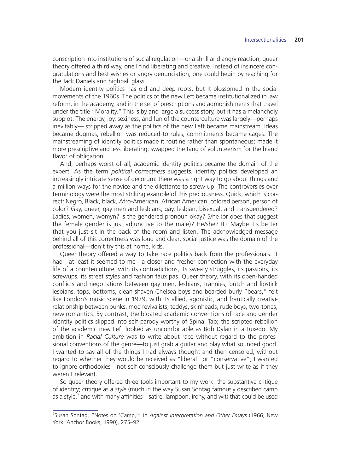conscription into institutions of social regulation—or a shrill and angry reaction, queer theory offered a third way, one I find liberating and creative. Instead of insincere congratulations and best wishes or angry denunciation, one could begin by reaching for the Jack Daniels and highball glass.

Modern identity politics has old and deep roots, but it blossomed in the social movements of the 1960s. The politics of the new Left became institutionalized in law reform, in the academy, and in the set of prescriptions and admonishments that travel under the title "Morality." This is by and large a success story, but it has a melancholy subplot. The energy, joy, sexiness, and fun of the counterculture was largely—perhaps inevitably— stripped away as the politics of the new Left became mainstream. Ideas became dogmas, rebellion was reduced to rules, commitments became cages. The mainstreaming of identity politics made it routine rather than spontaneous; made it more prescriptive and less liberating; swapped the tang of volunteerism for the bland flavor of obligation.

And, perhaps worst of all, academic identity politics became the domain of the expert. As the term *political correctness* suggests, identity politics developed an increasingly intricate sense of decorum: there was a right way to go about things and a million ways for the novice and the dilettante to screw up. The controversies over terminology were the most striking example of this preciousness. Quick, which is correct: Negro, Black, black, Afro-American, African American, colored person, person of color? Gay, queer, gay men and lesbians, gay, lesbian, bisexual, and transgendered? Ladies, women, womyn? Is the gendered pronoun okay? S/he (or does that suggest the female gender is just adjunctive to the male)? He/she? It? Maybe it's better that you just sit in the back of the room and listen. The acknowledged message behind all of this correctness was loud and clear: social justice was the domain of the professional—don't try this at home, kids.

Queer theory offered a way to take race politics back from the professionals. It had—at least it seemed to me—a closer and fresher connection with the everyday life of a counterculture, with its contradictions, its sweaty struggles, its passions, its screwups, its street styles and fashion faux pas. Queer theory, with its open-handed conflicts and negotiations between gay men, lesbians, trannies, butch and lipstick lesbians, tops, bottoms, clean-shaven Chelsea boys and bearded burly "bears," felt like London's music scene in 1979, with its allied, agonistic, and frantically creative relationship between punks, mod revivalists, teddys, skinheads, rude boys, two-tones, new romantics. By contrast, the bloated academic conventions of race and gender identity politics slipped into self-parody worthy of Spinal Tap; the scripted rebellion of the academic new Left looked as uncomfortable as Bob Dylan in a tuxedo. My ambition in *Racial Culture* was to write about race without regard to the professional conventions of the genre—to just grab a guitar and play what sounded good. I wanted to say all of the things I had always thought and then censored, without regard to whether they would be received as "liberal" or "conservative"; I wanted to ignore orthodoxies—not self-consciously challenge them but just write as if they weren't relevant.

So queer theory offered three tools important to my work: the substantive critique of identity; critique as a *style* (much in the way Susan Sontag famously described camp as a style,<sup>7</sup> and with many affinities—satire, lampoon, irony, and wit) that could be used

<sup>7</sup> Susan Sontag, "Notes on 'Camp,'" in *Against Interpretation and Other Essays* (1966; New York: Anchor Books, 1990), 275–92.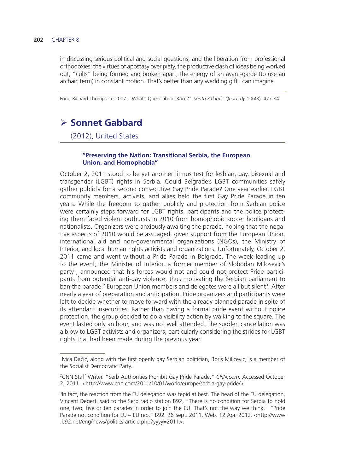in discussing serious political and social questions; and the liberation from professional orthodoxies: the virtues of apostasy over piety, the productive clash of ideas being worked out, "cults" being formed and broken apart, the energy of an avant-garde (to use an archaic term) in constant motion. That's better than any wedding gift I can imagine.

Ford, Richard Thompson. 2007. "What's Queer about Race?" *South Atlantic Quarterly* 106(3): 477-84.

## ¾ **Sonnet Gabbard**

(2012), United States

#### **"Preserving the Nation: Transitional Serbia, the European Union, and Homophobia"**

October 2, 2011 stood to be yet another litmus test for lesbian, gay, bisexual and transgender (LGBT) rights in Serbia. Could Belgrade's LGBT communities safely gather publicly for a second consecutive Gay Pride Parade? One year earlier, LGBT community members, activists, and allies held the first Gay Pride Parade in ten years. While the freedom to gather publicly and protection from Serbian police were certainly steps forward for LGBT rights, participants and the police protecting them faced violent outbursts in 2010 from homophobic soccer hooligans and nationalists. Organizers were anxiously awaiting the parade, hoping that the negative aspects of 2010 would be assuaged, given support from the European Union, international aid and non-governmental organizations (NGOs), the Ministry of Interior, and local human rights activists and organizations. Unfortunately, October 2, 2011 came and went without a Pride Parade in Belgrade. The week leading up to the event, the Minister of Interior, a former member of Slobodan Milosevic's party<sup>1</sup>, announced that his forces would not and could not protect Pride participants from potential anti-gay violence, thus motivating the Serbian parliament to ban the parade.<sup>2</sup> European Union members and delegates were all but silent<sup>3</sup>. After nearly a year of preparation and anticipation, Pride organizers and participants were left to decide whether to move forward with the already planned parade in spite of its attendant insecurities. Rather than having a formal pride event without police protection, the group decided to do a visibility action by walking to the square. The event lasted only an hour, and was not well attended. The sudden cancellation was a blow to LGBT activists and organizers, particularly considering the strides for LGBT rights that had been made during the previous year.

<sup>&</sup>lt;sup>1</sup>lvica Dačić, along with the first openly gay Serbian politician, Boris Milicevic, is a member of the Socialist Democratic Party.

<sup>2</sup> CNN Staff Writer. "Serb Authorities Prohibit Gay Pride Parade." *CNN.com.* Accessed October 2, 2011. <http://www.cnn.com/2011/10/01/world/europe/serbia-gay-pride/>

<sup>&</sup>lt;sup>3</sup>In fact, the reaction from the EU delegation was tepid at best. The head of the EU delegation, Vincent Degert, said to the Serb radio station B92, "There is no condition for Serbia to hold one, two, five or ten parades in order to join the EU. That's not the way we think." "Pride Parade not condition for EU – EU rep." B92. 26 Sept. 2011. Web. 12 Apr. 2012. <http://www .b92.net/eng/news/politics-article.php?yyyy=2011>.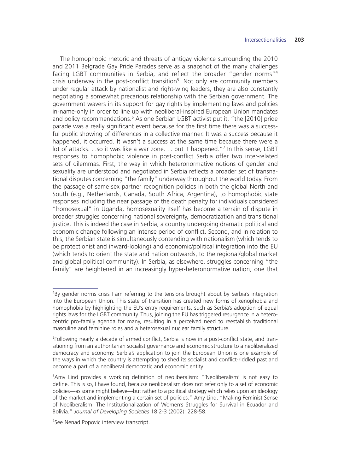The homophobic rhetoric and threats of antigay violence surrounding the 2010 and 2011 Belgrade Gay Pride Parades serve as a snapshot of the many challenges facing LGBT communities in Serbia, and reflect the broader "gender norms"4 crisis underway in the post-conflict transition<sup>5</sup>. Not only are community members under regular attack by nationalist and right-wing leaders, they are also constantly negotiating a somewhat precarious relationship with the Serbian government. The government wavers in its support for gay rights by implementing laws and policies in-name-only in order to line up with neoliberal-inspired European Union mandates and policy recommendations.<sup>6</sup> As one Serbian LGBT activist put it, "the [2010] pride parade was a really significant event because for the first time there was a successful public showing of differences in a collective manner. It was a success because it happened, it occurred. It wasn't a success at the same time because there were a lot of attacks. . .so it was like a war zone. . . but it happened."<sup>7</sup> In this sense, LGBT responses to homophobic violence in post-conflict Serbia offer two inter-related sets of dilemmas. First, the way in which heteronormative notions of gender and sexuality are understood and negotiated in Serbia reflects a broader set of transnational disputes concerning "the family" underway throughout the world today. From the passage of same-sex partner recognition policies in both the global North and South (e.g., Netherlands, Canada, South Africa, Argentina), to homophobic state responses including the near passage of the death penalty for individuals considered "homosexual" in Uganda, homosexuality itself has become a terrain of dispute in broader struggles concerning national sovereignty, democratization and transitional justice. This is indeed the case in Serbia, a country undergoing dramatic political and economic change following an intense period of conflict. Second, and in relation to this, the Serbian state is simultaneously contending with nationalism (which tends to be protectionist and inward-looking) and economic/political integration into the EU (which tends to orient the state and nation outwards, to the regional/global market and global political community). In Serbia, as elsewhere, struggles concerning "the family" are heightened in an increasingly hyper-heteronormative nation, one that

<sup>4</sup> By gender norms crisis I am referring to the tensions brought about by Serbia's integration into the European Union. This state of transition has created new forms of xenophobia and homophobia by highlighting the EU's entry requirements, such as Serbia's adoption of equal rights laws for the LGBT community. Thus, joining the EU has triggered resurgence in a heterocentric pro-family agenda for many, resulting in a perceived need to reestablish traditional masculine and feminine roles and a heterosexual nuclear family structure.

<sup>5</sup> Following nearly a decade of armed conflict, Serbia is now in a post-conflict state, and transitioning from an authoritarian socialist governance and economic structure to a neoliberalized democracy and economy. Serbia's application to join the European Union is one example of the ways in which the country is attempting to shed its socialist and conflict-riddled past and become a part of a neoliberal democratic and economic entity.

<sup>6</sup> Amy Lind provides a working definition of neoliberalism: "'Neoliberalism' is not easy to define. This is so, I have found, because neoliberalism does not refer only to a set of economic policies—as some might believe—but rather to a political strategy which relies upon an ideology of the market and implementing a certain set of policies." Amy Lind, "Making Feminist Sense of Neoliberalism: The Institutionalization of Women's Struggles for Survival in Ecuador and Bolivia." *Journal of Developing Societies* 18.2-3 (2002): 228-58.

<sup>7</sup> See Nenad Popovic interview transcript.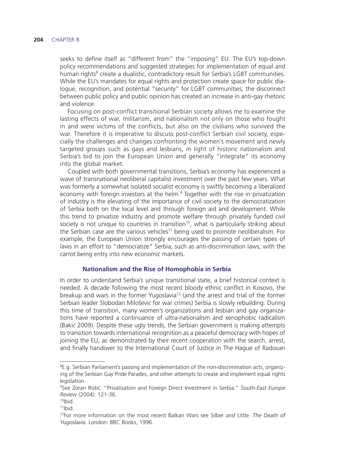seeks to define itself as "different from" the "imposing" EU. The EU's top-down policy recommendations and suggested strategies for implementation of equal and human rights<sup>8</sup> create a dualistic, contradictory result for Serbia's LGBT communities. While the EU's mandates for equal rights and protection create space for public dialogue, recognition, and potential "security" for LGBT communities, the disconnect between public policy and public opinion has created an increase in anti-gay rhetoric and violence.

Focusing on post-conflict transitional Serbian society allows me to examine the lasting effects of war, militarism, and nationalism not only on those who fought in and were victims of the conflicts, but also on the civilians who survived the war. Therefore it is imperative to discuss post-conflict Serbian civil society, especially the challenges and changes confronting the women's movement and newly targeted groups such as gays and lesbians, in light of historic nationalism and Serbia's bid to join the European Union and generally "integrate" its economy into the global market.

Coupled with both governmental transitions, Serbia's economy has experienced a wave of transnational neoliberal capitalist investment over the past few years. What was formerly a somewhat isolated socialist economy is swiftly becoming a liberalized economy with foreign investors at the helm.<sup>9</sup> Together with the rise in privatization of industry is the elevating of the importance of civil society to the democratization of Serbia both on the local level and through foreign aid and development. While this trend to privatize industry and promote welfare through privately funded civil society is not unique to countries in transition<sup>10</sup>, what is particularly striking about the Serbian case are the various vehicles<sup>11</sup> being used to promote neoliberalism. For example, the European Union strongly encourages the passing of certain types of laws in an effort to "democratize" Serbia, such as anti-discrimination laws, with the carrot being entry into new economic markets.

#### **Nationalism and the Rise of Homophobia in Serbia**

In order to understand Serbia's unique transitional state, a brief historical context is needed. A decade following the most recent bloody ethnic conflict in Kosovo, the breakup and wars in the former Yugoslavia<sup>12</sup> (and the arrest and trial of the former Serbian leader Slobodan Miloševic´ for war crimes) Serbia is slowly rebuilding. During this time of transition, many women's organizations and lesbian and gay organizations have reported a continuance of ultra-nationalism and xenophobic radicalism (Bakic´ 2009). Despite these ugly trends, the Serbian government is making attempts to transition towards international recognition as a peaceful democracy with hopes of joining the EU, as demonstrated by their recent cooperation with the search, arrest, and finally handover to the International Court of Justice in The Hague of Radovan

<sup>8</sup> E.g. Serbian Parliament's passing and implementation of the non-discrimination acts, organizing of the Serbian Gay Pride Parades, and other attempts to create and implement equal rights legislation.

<sup>9</sup> See Zoran Ristic´. "Privatisation and Foreign Direct Investment in Serbia." *South-East Europe Review* (2004): 121-36.

 $10$ Ibid.  $11$ Ibid.

<sup>12</sup>For more information on the most recent Balkan Wars see Silber and Little. *The Death of Yugoslavia.* London: BBC Books, 1996.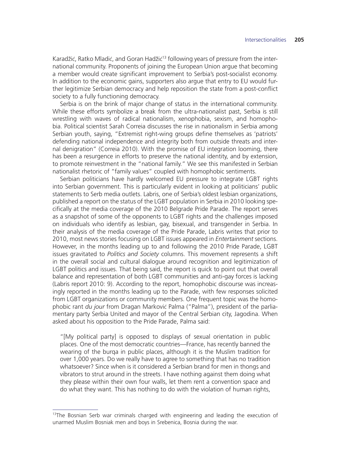Karadžić, Ratko Mladić, and Goran Hadžić<sup>13</sup> following years of pressure from the international community. Proponents of joining the European Union argue that becoming a member would create significant improvement to Serbia's post-socialist economy. In addition to the economic gains, supporters also argue that entry to EU would further legitimize Serbian democracy and help reposition the state from a post-conflict society to a fully functioning democracy.

Serbia is on the brink of major change of status in the international community. While these efforts symbolize a break from the ultra-nationalist past, Serbia is still wrestling with waves of radical nationalism, xenophobia, sexism, and homophobia. Political scientist Sarah Correia discusses the rise in nationalism in Serbia among Serbian youth, saying, "Extremist right-wing groups define themselves as 'patriots' defending national independence and integrity both from outside threats and internal denigration" (Correia 2010). With the promise of EU integration looming, there has been a resurgence in efforts to preserve the national identity, and by extension, to promote reinvestment in the "national family." We see this manifested in Serbian nationalist rhetoric of "family values" coupled with homophobic sentiments.

Serbian politicians have hardly welcomed EU pressure to integrate LGBT rights into Serbian government. This is particularly evident in looking at politicians' public statements to Serb media outlets. Labris, one of Serbia's oldest lesbian organizations, published a report on the status of the LGBT population in Serbia in 2010 looking specifically at the media coverage of the 2010 Belgrade Pride Parade. The report serves as a snapshot of some of the opponents to LGBT rights and the challenges imposed on individuals who identify as lesbian, gay, bisexual, and transgender in Serbia. In their analysis of the media coverage of the Pride Parade, Labris writes that prior to 2010, most news stories focusing on LGBT issues appeared in *Entertainment* sections. However, in the months leading up to and following the 2010 Pride Parade, LGBT issues gravitated to *Politics and Society* columns. This movement represents a shift in the overall social and cultural dialogue around recognition and legitimization of LGBT politics and issues. That being said, the report is quick to point out that overall balance and representation of both LGBT communities and anti-gay forces is lacking (Labris report 2010: 9). According to the report, homophobic discourse was increasingly reported in the months leading up to the Parade, with few responses solicited from LGBT organizations or community members. One frequent topic was the homophobic rant *du jour* from Dragan Marković Palma ("Palma"), president of the parliamentary party Serbia United and mayor of the Central Serbian city, Jagodina. When asked about his opposition to the Pride Parade, Palma said:

"[My political party] is opposed to displays of sexual orientation in public places. One of the most democratic countries—France, has recently banned the wearing of the burqa in public places, although it is the Muslim tradition for over 1,000 years. Do we really have to agree to something that has no tradition whatsoever? Since when is it considered a Serbian brand for men in thongs and vibrators to strut around in the streets. I have nothing against them doing what they please within their own four walls, let them rent a convention space and do what they want. This has nothing to do with the violation of human rights,

<sup>&</sup>lt;sup>13</sup>The Bosnian Serb war criminals charged with engineering and leading the execution of unarmed Muslim Bosniak men and boys in Srebenica, Bosnia during the war.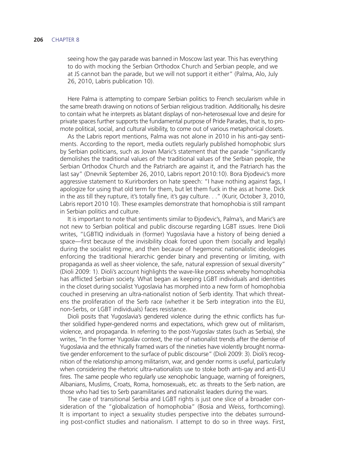seeing how the gay parade was banned in Moscow last year. This has everything to do with mocking the Serbian Orthodox Church and Serbian people, and we at JS cannot ban the parade, but we will not support it either" (Palma, Alo, July 26, 2010, Labris publication 10).

Here Palma is attempting to compare Serbian politics to French secularism while in the same breath drawing on notions of Serbian religious tradition. Additionally, his desire to contain what he interprets as blatant displays of non-heterosexual love and desire for private spaces further supports the fundamental purpose of Pride Parades, that is, to promote political, social, and cultural visibility, to come out of various metaphorical closets.

As the Labris report mentions, Palma was not alone in 2010 in his anti-gay sentiments. According to the report, media outlets regularly published homophobic slurs by Serbian politicians, such as Jovan Maric's statement that the parade "significantly demolishes the traditional values of the traditional values of the Serbian people, the Serbian Orthodox Church and the Patriarch are against it, and the Patriarch has the last say" (Dnevnik September 26, 2010, Labris report 2010:10). Bora Đjođević's more aggressive statement to Kurirborders on hate speech: "I have nothing against fags, I apologize for using that old term for them, but let them fuck in the ass at home. Dick in the ass till they rupture, it's totally fine, it's gay culture. . ." (Kurir, October 3, 2010, Labris report 2010 10). These examples demonstrate that homophobia is still rampant in Serbian politics and culture.

It is important to note that sentiments similar to Đjođević's, Palma's, and Marić's are not new to Serbian political and public discourse regarding LGBT issues. Irene Dioli writes, "LGBTIQ individuals in (former) Yugoslavia have a history of being denied a space—first because of the invisibility cloak forced upon them (socially and legally) during the socialist regime, and then because of hegemonic nationalistic ideologies enforcing the traditional hierarchic gender binary and preventing or limiting, with propaganda as well as sheer violence, the safe, natural expression of sexual diversity" (Dioli 2009: 1). Dioli's account highlights the wave-like process whereby homophobia has afflicted Serbian society. What began as keeping LGBT individuals and identities in the closet during socialist Yugoslavia has morphed into a new form of homophobia couched in preserving an ultra-nationalist notion of Serb identity. That which threatens the proliferation of the Serb race (whether it be Serb integration into the EU, non-Serbs, or LGBT individuals) faces resistance.

Dioli posits that Yugoslavia's gendered violence during the ethnic conflicts has further solidified hyper-gendered norms and expectations, which grew out of militarism, violence, and propaganda. In referring to the post-Yugoslav states (such as Serbia), she writes, "In the former Yugoslav context, the rise of nationalist trends after the demise of Yugoslavia and the ethnically framed wars of the nineties have violently brought normative gender enforcement to the surface of public discourse" (Dioli 2009: 3). Dioli's recognition of the relationship among militarism, war, and gender norms is useful, particularly when considering the rhetoric ultra-nationalists use to stoke both anti-gay and anti-EU fires. The same people who regularly use xenophobic language, warning of foreigners, Albanians, Muslims, Croats, Roma, homosexuals, etc. as threats to the Serb nation, are those who had ties to Serb paramilitaries and nationalist leaders during the wars.

The case of transitional Serbia and LGBT rights is just one slice of a broader consideration of the "globalization of homophobia" (Bosia and Weiss, forthcoming). It is important to inject a sexuality studies perspective into the debates surrounding post-conflict studies and nationalism. I attempt to do so in three ways. First,